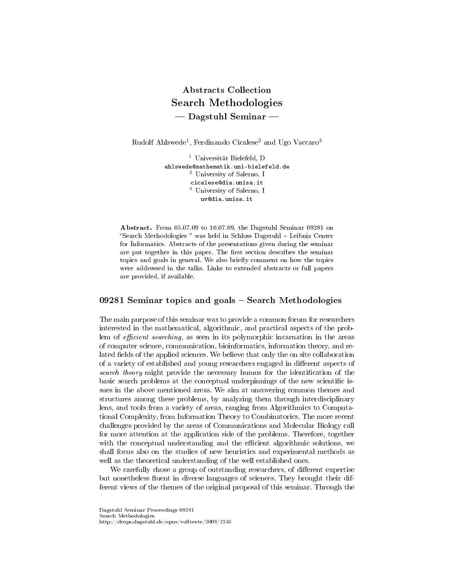# Abstracts Collection Search Methodologies  $-$  Dagstuhl Seminar  $-$

Rudolf Ahlswede<sup>1</sup>, Ferdinando Cicalese<sup>2</sup> and Ugo Vaccaro<sup>3</sup>

<sup>1</sup> Universität Bielefeld, D ahlswede@mathematik.uni-bielefeld.de <sup>2</sup> University of Salerno, I cicalese@dia.unisa.it <sup>3</sup> University of Salerno, I uv@dia.unisa.it

Abstract. From 05.07.09 to 10.07.09, the Dagstuhl Seminar 09281 on "Search Methodologies " was held in Schloss Dagstuhl - Leibniz Center for Informatics. Abstracts of the presentations given during the seminar are put together in this paper. The first section describes the seminar topics and goals in general. We also briefly comment on how the topics were addressed in the talks. Links to extended abstracts or full papers are provided, if available.

# $09281$  Seminar topics and goals  $-$  Search Methodologies

The main purpose of this seminar was to provide a common forum for researchers interested in the mathematical, algorithmic, and practical aspects of the problem of *efficient searching*, as seen in its polymorphic incarnation in the areas of computer science, communication, bioinformatics, information theory, and related fields of the applied sciences. We believe that only the on site collaboration of a variety of established and young researchers engaged in different aspects of search theory might provide the necessary humus for the identification of the basic search problems at the conceptual underpinnings of the new scientific issues in the above mentioned areas. We aim at uncovering common themes and structures among these problems, by analyzing them through interdisciplinary lens, and tools from a variety of areas, ranging from Algorithmics to Computational Complexity, from Information Theory to Combinatorics. The more recent challenges provided by the areas of Communications and Molecular Biology call for more attention at the application side of the problems. Therefore, together with the conceptual understanding and the efficient algorithmic solutions, we shall focus also on the studies of new heuristics and experimental methods as well as the theoretical understanding of the well established ones.

We carefully chose a group of outstanding researchers, of different expertise but nonetheless fluent in diverse languages of sciences. They brought their different views of the themes of the original proposal of this seminar. Through the

Dagstuhl Seminar Proceedings 09281 Search Methodologies http://drops.dagstuhl.de/opus/volltexte/2009/2245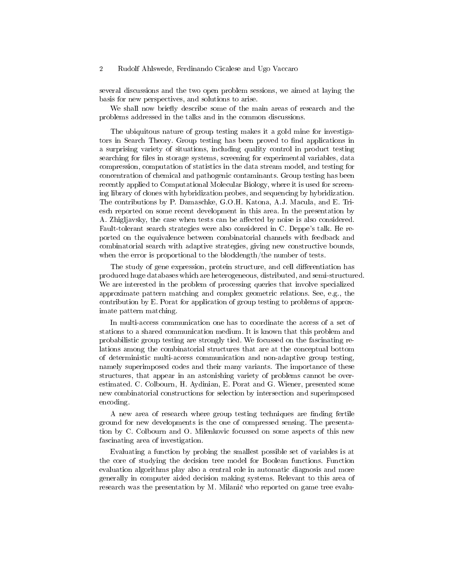several discussions and the two open problem sessions, we aimed at laying the basis for new perspectives, and solutions to arise.

We shall now briefly describe some of the main areas of research and the problems addressed in the talks and in the common discussions.

The ubiquitous nature of group testing makes it a gold mine for investigators in Search Theory. Group testing has been proved to find applications in a surprising variety of situations, including quality control in product testing searching for files in storage systems, screening for experimental variables, data compression, computation of statistics in the data stream model, and testing for concentration of chemical and pathogenic contaminants. Group testing has been recently applied to Computational Molecular Biology, where it is used for screening library of clones with hybridization probes, and sequencing by hybridization. The contributions by P. Damaschke, G.O.H. Katona, A.J. Macula, and E. Triesch reported on some recent development in this area. In the presentation by A. Zhigljavsky, the case when tests can be affected by noise is also considered. Fault-tolerant search strategies were also considered in C. Deppe's talk. He reported on the equivalence between combinatorial channels with feedback and combinatorial search with adaptive strategies, giving new constructive bounds, when the error is proportional to the blocklength/the number of tests.

The study of gene expression, protein structure, and cell differentiation has produced huge databases which are heterogeneous, distributed, and semi-structured. We are interested in the problem of processing queries that involve specialized approximate pattern matching and complex geometric relations. See, e.g., the contribution by E. Porat for application of group testing to problems of approximate pattern matching.

In multi-access communication one has to coordinate the access of a set of stations to a shared communication medium. It is known that this problem and probabilistic group testing are strongly tied. We focussed on the fascinating relations among the combinatorial structures that are at the conceptual bottom of deterministic multi-access communication and non-adaptive group testing, namely superimposed codes and their many variants. The importance of these structures, that appear in an astonishing variety of problems cannot be overestimated. C. Colbourn, H. Aydinian, E. Porat and G. Wiener, presented some new combinatorial constructions for selection by intersection and superimposed encoding.

A new area of research where group testing techniques are finding fertile ground for new developments is the one of compressed sensing. The presentation by C. Colbourn and O. Milenkovic focussed on some aspects of this new fascinating area of investigation.

Evaluating a function by probing the smallest possible set of variables is at the core of studying the decision tree model for Boolean functions. Function evaluation algorithms play also a central role in automatic diagnosis and more generally in computer aided decision making systems. Relevant to this area of research was the presentation by M. Milanič who reported on game tree evalu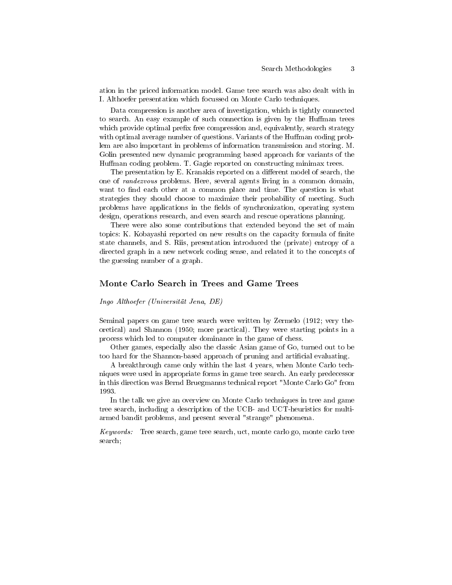ation in the priced information model. Game tree search was also dealt with in I. Althoefer presentation which focussed on Monte Carlo techniques.

Data compression is another area of investigation, which is tightly connected to search. An easy example of such connection is given by the Huffman trees which provide optimal prefix free compression and, equivalently, search strategy with optimal average number of questions. Variants of the Huffman coding problem are also important in problems of information transmission and storing. M. Golin presented new dynamic programming based approach for variants of the Human coding problem. T. Gagie reported on constructing minimax trees.

The presentation by E. Kranakis reported on a different model of search, the one of randezvous problems. Here, several agents living in a common domain, want to find each other at a common place and time. The question is what strategies they should choose to maximize their probability of meeting. Such problems have applications in the fields of synchronization, operating system design, operations research, and even search and rescue operations planning.

There were also some contributions that extended beyond the set of main topics: K. Kobayashi reported on new results on the capacity formula of nite state channels, and S. Riis, presentation introduced the (private) entropy of a directed graph in a new network coding sense, and related it to the concepts of the guessing number of a graph.

#### Monte Carlo Search in Trees and Game Trees

Ingo Althoefer (Universität Jena, DE)

Seminal papers on game tree search were written by Zermelo (1912; very theoretical) and Shannon (1950; more practical). They were starting points in a process which led to computer dominance in the game of chess.

Other games, especially also the classic Asian game of Go, turned out to be too hard for the Shannon-based approach of pruning and artificial evaluating.

A breakthrough came only within the last 4 years, when Monte Carlo techniques were used in appropriate forms in game tree search. An early predecessor in this direction was Bernd Bruegmanns technical report "Monte Carlo Go" from 1993.

In the talk we give an overview on Monte Carlo techniques in tree and game tree search, including a description of the UCB- and UCT-heuristics for multiarmed bandit problems, and present several "strange" phenomena.

Keywords: Tree search, game tree search, uct, monte carlo go, monte carlo tree search;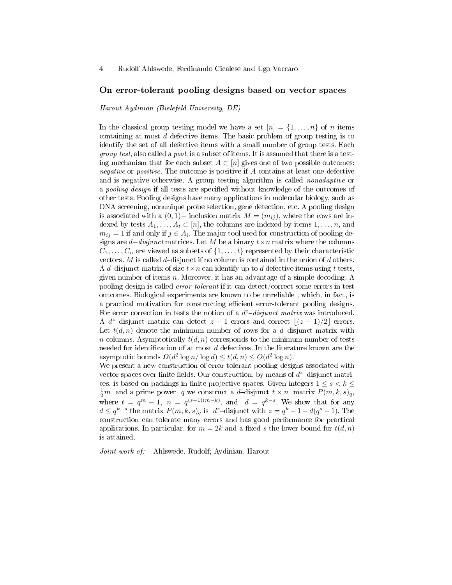#### On error-tolerant pooling designs based on vector spaces

Harout Aydinian (Bielefeld University, DE)

In the classical group testing model we have a set  $[n] = \{1, \ldots, n\}$  of n items containing at most d defective items. The basic problem of group testing is to identify the set of all defective items with a small number of group tests. Each group test, also called a pool, is a subset of items. It is assumed that there is a testing mechanism that for each subset  $A \subset [n]$  gives one of two possible outcomes: negative or positive. The outcome is positive if A contains at least one defective and is negative otherwise. A group testing algorithm is called *nonadaptive* or a *pooling design* if all tests are specified without knowledge of the outcomes of other tests. Pooling designs have many applications in molecular biology, such as DNA screening, nonunique probe selection, gene detection, etc. A pooling design is associated with a  $(0, 1)$  – inclusion matrix  $M = (m_{ij})$ , where the rows are indexed by tests  $A_1, \ldots, A_t \subset [n]$ , the columns are indexed by items  $1, \ldots, n$ , and  $m_{ij} = 1$  if and only if  $j \in A_i$ . The major tool used for construction of pooling designs are  $d-disjunct$  matrices. Let M be a binary  $t \times n$  matrix where the columns  $C_1, \ldots, C_n$  are viewed as subsets of  $\{1, \ldots, t\}$  represented by their characteristic vectors. M is called  $d$ -disjunct if no column is contained in the union of  $d$  others. A d-disjunct matrix of size  $t \times n$  can identify up to d defective items using t tests, given number of items  $n$ . Moreover, it has an advantage of a simple decoding. A pooling design is called error-tolerant if it can detect/correct some errors in test outcomes. Biological experiments are known to be unreliable , which, in fact, is a practical motivation for constructing efficient error-tolerant pooling designs. For error correction in tests the notion of a  $d^z$ -disjunct matrix was introduced. A d<sup>z</sup>-disjunct matrix can detect  $z - 1$  errors and correct  $|(z - 1)/2|$  errors. Let  $t(d, n)$  denote the minimum number of rows for a d-disjunct matrix with n columns. Asymptotically  $t(d, n)$  corresponds to the minimum number of tests needed for identification of at most  $d$  defectives. In the literature known are the asymptotic bounds  $\Omega(d^2 \log n / \log d) \le t(d, n) \le O(d^2 \log n)$ .

We present a new construction of error-tolerant pooling designs associated with vector spaces over finite fields. Our construction, by means of  $d^z$ -disjunct matrices, is based on packings in finite projective spaces. Given integers  $1 \leq s \leq k \leq$  $\frac{1}{2}m$  and a prime power q we construct a d-disjunct  $t \times n$  matrix  $P(m, k, s)_q$ , where  $t = q^m - 1$ ,  $n = q^{(s+1)(m-k)}$ , and  $d = q^{k-s}$ . We show that for any  $d \leq q^{k-s}$  the matrix  $P(m, k, s)_q$  is  $d^z$ -disjunct with  $z = q^k - 1 - d(q^s - 1)$ . The construction can tolerate many errors and has good performance for practical applications. In particular, for  $m = 2k$  and a fixed s the lower bound for  $t(d, n)$ is attained.

Joint work of: Ahlswede, Rudolf; Aydinian, Harout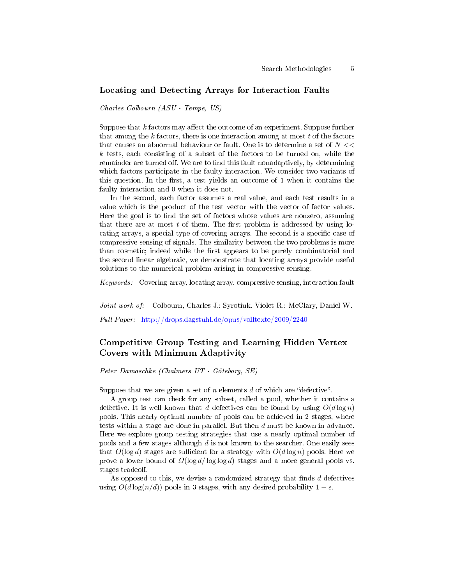#### Locating and Detecting Arrays for Interaction Faults

Charles Colbourn (ASU - Tempe, US)

Suppose that  $k$  factors may affect the outcome of an experiment. Suppose further that among the k factors, there is one interaction among at most  $t$  of the factors that causes an abnormal behaviour or fault. One is to determine a set of  $N <<$  $k$  tests, each consisting of a subset of the factors to be turned on, while the remainder are turned off. We are to find this fault nonadaptively, by determining which factors participate in the faulty interaction. We consider two variants of this question. In the first, a test yields an outcome of  $1$  when it contains the faulty interaction and 0 when it does not.

In the second, each factor assumes a real value, and each test results in a value which is the product of the test vector with the vector of factor values. Here the goal is to find the set of factors whose values are nonzero, assuming that there are at most  $t$  of them. The first problem is addressed by using locating arrays, a special type of covering arrays. The second is a specific case of compressive sensing of signals. The similarity between the two problems is more than cosmetic; indeed while the first appears to be purely combinatorial and the second linear algebraic, we demonstrate that locating arrays provide useful solutions to the numerical problem arising in compressive sensing.

Keywords: Covering array, locating array, compressive sensing, interaction fault

Joint work of: Colbourn, Charles J.; Syrotiuk, Violet R.; McClary, Daniel W.

Full Paper: <http://drops.dagstuhl.de/opus/volltexte/2009/2240>

# Competitive Group Testing and Learning Hidden Vertex Covers with Minimum Adaptivity

Peter Damaschke (Chalmers UT - Göteborg, SE)

Suppose that we are given a set of n elements d of which are "defective".

A group test can check for any subset, called a pool, whether it contains a defective. It is well known that d defectives can be found by using  $O(d \log n)$ pools. This nearly optimal number of pools can be achieved in 2 stages, where tests within a stage are done in parallel. But then d must be known in advance. Here we explore group testing strategies that use a nearly optimal number of pools and a few stages although  $d$  is not known to the searcher. One easily sees that  $O(\log d)$  stages are sufficient for a strategy with  $O(d \log n)$  pools. Here we prove a lower bound of  $\Omega(\log d / \log \log d)$  stages and a more general pools vs. stages tradeoff.

As opposed to this, we devise a randomized strategy that finds  $d$  defectives using  $O(d \log(n/d))$  pools in 3 stages, with any desired probability  $1 - \epsilon$ .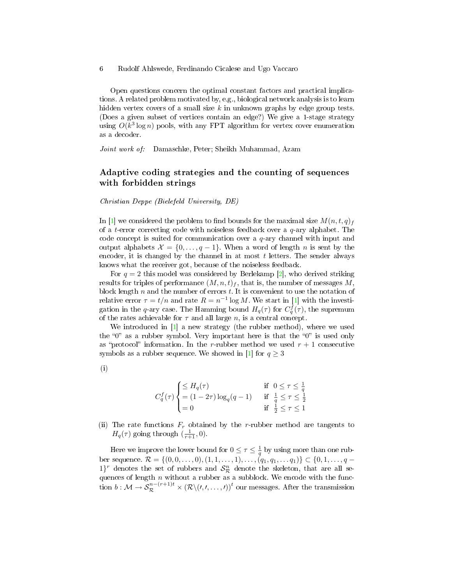Open questions concern the optimal constant factors and practical implications. A related problem motivated by, e.g., biological network analysis is to learn hidden vertex covers of a small size  $k$  in unknown graphs by edge group tests. (Does a given subset of vertices contain an edge?) We give a 1-stage strategy using  $O(k^3 \log n)$  pools, with any FPT algorithm for vertex cover enumeration as a decoder.

Joint work of: Damaschke, Peter; Sheikh Muhammad, Azam

## Adaptive coding strategies and the counting of sequences with forbidden strings

Christian Deppe (Bielefeld University, DE)

In [\[1\]](#page-6-0) we considered the problem to find bounds for the maximal size  $M(n, t, q)$ <sub>f</sub> of a t-error correcting code with noiseless feedback over a  $q$ -ary alphabet. The code concept is suited for communication over a  $q$ -ary channel with input and output alphabets  $\mathcal{X} = \{0, \ldots, q-1\}$ . When a word of length n is sent by the encoder, it is changed by the channel in at most  $t$  letters. The sender always knows what the receiver got, because of the noiseless feedback.

For  $q = 2$  this model was considered by Berlekamp [\[2\]](#page-6-1), who derived striking results for triples of performance  $(M, n, t)$ , that is, the number of messages M, block length  $n$  and the number of errors  $t$ . It is convenient to use the notation of relative error  $\tau = t/n$  and rate  $R = n^{-1} \log M$ . We start in [\[1\]](#page-6-0) with the investigation in the q-ary case. The Hamming bound  $H_q(\tau)$  for  $C_q^f(\tau)$ , the supremum of the rates achievable for  $\tau$  and all large n, is a central concept.

We introduced in [\[1\]](#page-6-0) a new strategy (the rubber method), where we used the " $0$ " as a rubber symbol. Very important here is that the " $0$ " is used only as "protocol" information. In the r-rubber method we used  $r + 1$  consecutive symbols as a rubber sequence. We showed in [\[1\]](#page-6-0) for  $q \geq 3$ 

(i)

$$
C_q^f(\tau) \begin{cases} \leq H_q(\tau) & \text{if } 0 \leq \tau \leq \frac{1}{q} \\ = (1 - 2\tau) \log_q(q - 1) & \text{if } \frac{1}{q} \leq \tau \leq \frac{1}{2} \\ = 0 & \text{if } \frac{1}{2} \leq \tau \leq 1 \end{cases}
$$

(ii) The rate functions  $F_r$  obtained by the r-rubber method are tangents to  $H_q(\tau)$  going through  $(\frac{1}{r+1}, 0)$ .

Here we improve the lower bound for  $0 \leq \tau \leq \frac{1}{q}$  by using more than one rubber sequence.  $\mathcal{R} = \{(0, 0, \ldots, 0), (1, 1, \ldots, 1), \ldots, (q_1, q_1, \ldots q_1)\} \subset \{0, 1, \ldots, q-1\}$  $1\}^r$  denotes the set of rubbers and  $S_{\mathcal{R}}^n$  denote the skeleton, that are all sequences of length  $n$  without a rubber as a subblock. We encode with the func- $\text{tion } b: \mathcal{M} \to \mathcal{S}^{n-(r+1)t}_\mathcal{R} \times \left(\mathcal{R} \backslash (\prime, \prime, \ldots, \prime)\right)^t \text{ our messages. After the transmission }$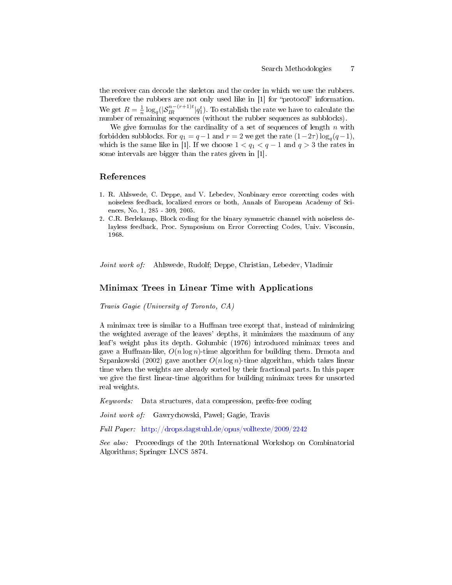the receiver can decode the skeleton and the order in which we use the rubbers. Therefore the rubbers are not only used like in [1] for "protocol" information. We get  $R = \frac{1}{n} \log_q (|\mathcal{S}_{IR}^{n-(r+1)t}|q_1^t)$ . To establish the rate we have to calculate the number of remaining sequences (without the rubber sequences as subblocks).

We give formulas for the cardinality of a set of sequences of length  $n$  with forbidden subblocks. For  $q_1 = q - 1$  and  $r = 2$  we get the rate  $(1 - 2\tau) \log_q(q - 1)$ , which is the same like in [1]. If we choose  $1 < q_1 < q - 1$  and  $q > 3$  the rates in some intervals are bigger than the rates given in [1].

## References

- <span id="page-6-0"></span>1. R. Ahlswede, C. Deppe, and V. Lebedev, Nonbinary error correcting codes with noiseless feedback, localized errors or both, Annals of European Academy of Sciences, No. 1, 285 - 309, 2005.
- <span id="page-6-1"></span>2. C.R. Berlekamp, Block coding for the binary symmetric channel with noiseless delayless feedback, Proc. Symposium on Error Correcting Codes, Univ. Visconsin, 1968.

Joint work of: Ahlswede, Rudolf; Deppe, Christian, Lebedev, Vladimir

## Minimax Trees in Linear Time with Applications

Travis Gagie (University of Toronto, CA)

A minimax tree is similar to a Huffman tree except that, instead of minimizing the weighted average of the leaves' depths, it minimizes the maximum of any leaf's weight plus its depth. Golumbic (1976) introduced minimax trees and gave a Huffman-like,  $O(n \log n)$ -time algorithm for building them. Drmota and Szpankowski (2002) gave another  $O(n \log n)$ -time algorithm, which takes linear time when the weights are already sorted by their fractional parts. In this paper we give the first linear-time algorithm for building minimax trees for unsorted real weights.

 $Keywords:$  Data structures, data compression, prefix-free coding

Joint work of: Gawrychowski, Pawel; Gagie, Travis

Full Paper: <http://drops.dagstuhl.de/opus/volltexte/2009/2242>

See also: Proceedings of the 20th International Workshop on Combinatorial Algorithms; Springer LNCS 5874.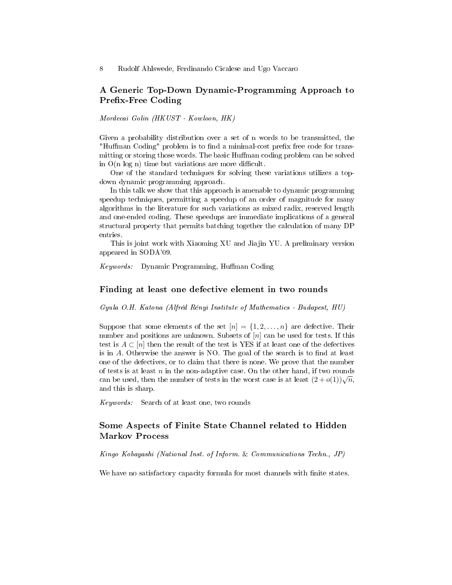# A Generic Top-Down Dynamic-Programming Approach to Prefix-Free Coding

Mordecai Golin (HKUST - Kowloon, HK)

Given a probability distribution over a set of n words to be transmitted, the "Huffman Coding" problem is to find a minimal-cost prefix free code for transmitting or storing those words. The basic Huffman coding problem can be solved in  $O(n \log n)$  time but variations are more difficult.

One of the standard techniques for solving these variations utilizes a topdown dynamic programming approach.

In this talk we show that this approach is amenable to dynamic programming speedup techniques, permitting a speedup of an order of magnitude for many algorithms in the literature for such variations as mixed radix, reserved length and one-ended coding. These speedups are immediate implications of a general structural property that permits batching together the calculation of many DP entries.

This is joint work with Xiaoming XU and Jiajin YU. A preliminary version appeared in SODA'09.

Keywords: Dynamic Programming, Huffman Coding

#### Finding at least one defective element in two rounds

Gyula O.H. Katona (Alfréd Rényi Institute of Mathematics - Budapest, HU)

Suppose that some elements of the set  $[n] = \{1, 2, ..., n\}$  are defective. Their number and positions are unknown. Subsets of  $[n]$  can be used for tests. If this test is  $A \subset [n]$  then the result of the test is YES if at least one of the defectives is in  $A$ . Otherwise the answer is NO. The goal of the search is to find at least one of the defectives, or to claim that there is none. We prove that the number of tests is at least  $n$  in the non-adaptive case. On the other hand, if two rounds or tests is at reast *n* in the non-adaptive case. On the other hand, if two founds<br>can be used, then the number of tests in the worst case is at least  $(2+o(1))\sqrt{n}$ , and this is sharp.

Keywords: Search of at least one, two rounds

# Some Aspects of Finite State Channel related to Hidden Markov Process

Kingo Kobayashi (National Inst. of Inform. & Communications Techn., JP)

We have no satisfactory capacity formula for most channels with finite states.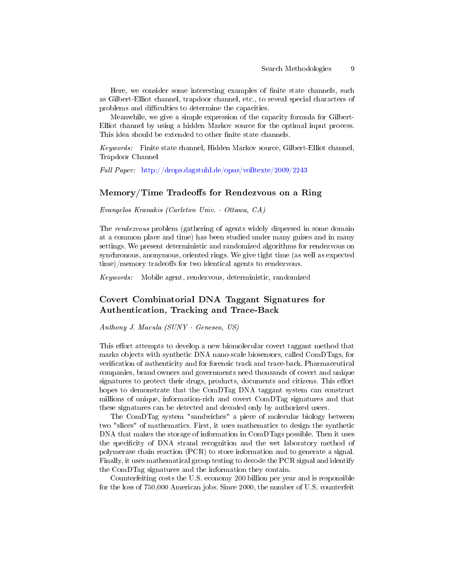Here, we consider some interesting examples of finite state channels, such as Gilbert-Elliot channel, trapdoor channel, etc., to reveal special characters of problems and difficulties to determine the capacities.

Meanwhile, we give a simple expression of the capacity formula for Gilbert-Elliot channel by using a hidden Markov source for the optimal input process. This idea should be extended to other finite state channels.

Keywords: Finite state channel, Hidden Markov source, Gilbert-Elliot channel, Trapdoor Channel

Full Paper: <http://drops.dagstuhl.de/opus/volltexte/2009/2243>

## $Memory/Time$  Tradeoffs for Rendezvous on a Ring

Evangelos Kranakis (Carleton Univ. - Ottawa, CA)

The rendezvous problem (gathering of agents widely dispersed in some domain at a common place and time) has been studied under many guises and in many settings. We present deterministic and randomized algorithms for rendezvous on synchronous, anonymous, oriented rings. We give tight time (as well as expected  $time$ /memory tradeoffs for two identical agents to rendezvous.

Keywords: Mobile agent, rendezvous, deterministic, randomized

# Covert Combinatorial DNA Taggant Signatures for Authentication, Tracking and Trace-Back

Anthony J. Macula (SUNY - Geneseo, US)

This effort attempts to develop a new biomolecular covert taggant method that marks objects with synthetic DNA nano-scale biosensors, called ComDTags, for verification of authenticity and for forensic track and trace-back. Pharmaceutical companies, brand owners and governments need thousands of covert and unique signatures to protect their drugs, products, documents and citizens. This effort hopes to demonstrate that the ComDTag DNA taggant system can construct millions of unique, information-rich and covert ComDTag signatures and that these signatures can be detected and decoded only by authorized users.

The ComDTag system "sandwiches" a piece of molecular biology between two "slices" of mathematics. First, it uses mathematics to design the synthetic DNA that makes the storage of information in ComDTags possible. Then it uses the specificity of DNA strand recognition and the wet laboratory method of polymerase chain reaction (PCR) to store information and to generate a signal. Finally, it uses mathematical group testing to decode the PCR signal and identify the ComDTag signatures and the information they contain.

Counterfeiting costs the U.S. economy 200 billion per year and is responsible for the loss of 750,000 American jobs. Since 2000, the number of U.S. counterfeit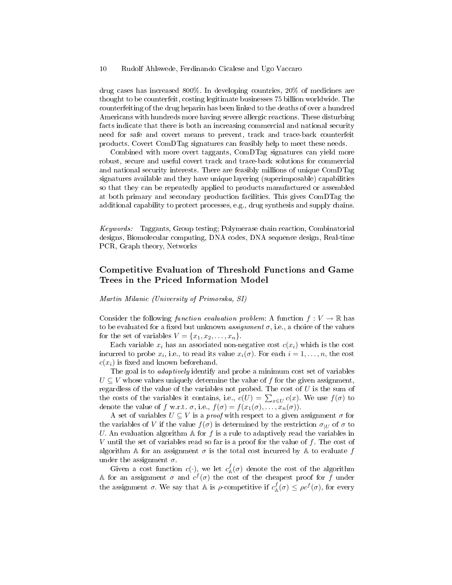drug cases has increased 800%. In developing countries, 20% of medicines are thought to be counterfeit, costing legitimate businesses 75 billion worldwide. The counterfeiting of the drug heparin has been linked to the deaths of over a hundred Americans with hundreds more having severe allergic reactions. These disturbing facts indicate that there is both an increasing commercial and national security need for safe and covert means to prevent, track and trace-back counterfeit products. Covert ComDTag signatures can feasibly help to meet these needs.

Combined with more overt taggants, ComDTag signatures can yield more robust, secure and useful covert track and trace-back solutions for commercial and national security interests. There are feasibly millions of unique ComDTag signatures available and they have unique layering (superimposable) capabilities so that they can be repeatedly applied to products manufactured or assembled at both primary and secondary production facilities. This gives ComDTag the additional capability to protect processes, e.g., drug synthesis and supply chains.

Keywords: Taggants, Group testing; Polymerase chain reaction, Combinatorial designs, Biomolecular computing, DNA codes, DNA sequence design, Real-time PCR, Graph theory, Networks

# Competitive Evaluation of Threshold Functions and Game Trees in the Priced Information Model

Martin Milanic (University of Primorska, SI)

Consider the following function evaluation problem: A function  $f: V \to \mathbb{R}$  has to be evaluated for a fixed but unknown *assignment*  $\sigma$ , i.e., a choice of the values for the set of variables  $V = \{x_1, x_2, \ldots, x_n\}.$ 

Each variable  $x_i$  has an associated non-negative cost  $c(x_i)$  which is the cost incurred to probe  $x_i$ , i.e., to read its value  $x_i(\sigma)$ . For each  $i = 1, \ldots, n$ , the cost  $c(x_i)$  is fixed and known beforehand.

The goal is to *adaptively* identify and probe a minimum cost set of variables  $U \subseteq V$  whose values uniquely determine the value of f for the given assignment, regardless of the value of the variables not probed. The cost of  $U$  is the sum of the costs of the variables it contains, i.e.,  $c(U) = \sum_{x \in U} c(x)$ . We use  $f(\sigma)$  to denote the value of f w.r.t.  $\sigma$ , i.e.,  $f(\sigma) = f(x_1(\sigma), \ldots, x_n(\sigma)).$ 

A set of variables  $U \subseteq V$  is a *proof* with respect to a given assignment  $\sigma$  for the variables of V if the value  $f(\sigma)$  is determined by the restriction  $\sigma_{U}$  of  $\sigma$  to U. An evaluation algorithm A for  $f$  is a rule to adaptively read the variables in V until the set of variables read so far is a proof for the value of  $f$ . The cost of algorithm A for an assignment  $\sigma$  is the total cost incurred by A to evaluate f under the assignment  $\sigma$ .

Given a cost function  $c(\cdot)$ , we let  $c^f_{\mathbb{A}}(\sigma)$  denote the cost of the algorithm A for an assignment  $\sigma$  and  $c^f(\sigma)$  the cost of the cheapest proof for f under the assignment  $\sigma$ . We say that A is  $\rho$ -competitive if  $c^f_{\mathbb{A}}(\sigma) \leq \rho c^f(\sigma)$ , for every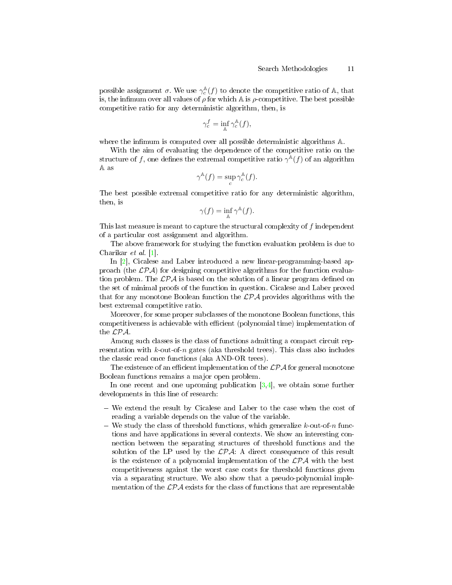possible assignment  $\sigma$ . We use  $\gamma_c^{\mathbb{A}}(f)$  to denote the competitive ratio of  $\mathbb{A},$  that is, the infimum over all values of  $\rho$  for which A is  $\rho$ -competitive. The best possible competitive ratio for any deterministic algorithm, then, is

$$
\gamma_c^f = \inf_{\mathbb{A}} \gamma_c^{\mathbb{A}}(f),
$$

where the infimum is computed over all possible deterministic algorithms A.

With the aim of evaluating the dependence of the competitive ratio on the structure of f, one defines the extremal competitive ratio  $\gamma^{\mathbb{A}}(f)$  of an algorithm A as

$$
\gamma^{\mathbb{A}}(f) = \sup_{c} \gamma_c^{\mathbb{A}}(f).
$$

The best possible extremal competitive ratio for any deterministic algorithm, then, is

$$
\gamma(f) = \inf_{\mathbb{A}} \gamma^{\mathbb{A}}(f).
$$

This last measure is meant to capture the structural complexity of f independent of a particular cost assignment and algorithm.

The above framework for studying the function evaluation problem is due to Charikar et al. [\[1\]](#page-11-0).

In [\[2\]](#page-11-1), Cicalese and Laber introduced a new linear-programming-based approach (the  $\mathcal{LPA}$ ) for designing competitive algorithms for the function evaluation problem. The  $\mathcal{L}P\mathcal{A}$  is based on the solution of a linear program defined on the set of minimal proofs of the function in question. Cicalese and Laber proved that for any monotone Boolean function the  $\mathcal{LPA}$  provides algorithms with the best extremal competitive ratio.

Moreover, for some proper subclasses of the monotone Boolean functions, this competitiveness is achievable with efficient (polynomial time) implementation of the LPA.

Among such classes is the class of functions admitting a compact circuit representation with  $k$ -out-of-n gates (aka threshold trees). This class also includes the classic read once functions (aka AND-OR trees).

The existence of an efficient implementation of the  $\mathcal{LPA}$  for general monotone Boolean functions remains a major open problem.

In one recent and one upcoming publication  $[3,4]$  $[3,4]$ , we obtain some further developments in this line of research:

- We extend the result by Cicalese and Laber to the case when the cost of reading a variable depends on the value of the variable.
- We study the class of threshold functions, which generalize  $k$ -out-of-n functions and have applications in several contexts. We show an interesting connection between the separating structures of threshold functions and the solution of the LP used by the  $\mathcal{LPA}$ : A direct consequence of this result is the existence of a polynomial implementation of the  $\mathcal{LPA}$  with the best competitiveness against the worst case costs for threshold functions given via a separating structure. We also show that a pseudo-polynomial implementation of the  $\mathcal{LPA}$  exists for the class of functions that are representable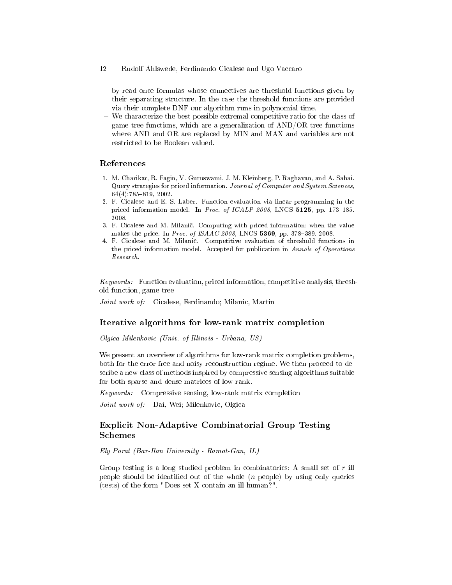by read once formulas whose connectives are threshold functions given by their separating structure. In the case the threshold functions are provided via their complete DNF our algorithm runs in polynomial time.

 We characterize the best possible extremal competitive ratio for the class of game tree functions, which are a generalization of AND/OR tree functions where AND and OR are replaced by MIN and MAX and variables are not restricted to be Boolean valued.

## References

- <span id="page-11-0"></span>1. M. Charikar, R. Fagin, V. Guruswami, J. M. Kleinberg, P. Raghavan, and A. Sahai. Query strategies for priced information. Journal of Computer and System Sciences,  $64(4)$ :785-819, 2002.
- <span id="page-11-1"></span>2. F. Cicalese and E. S. Laber. Function evaluation via linear programming in the priced information model. In Proc. of ICALP 2008, LNCS 5125, pp. 173-185. 2008.
- <span id="page-11-2"></span>3. F. Cicalese and M. Milani£. Computing with priced information: when the value makes the price. In Proc. of  $ISAAC$  2008, LNCS 5369, pp. 378-389. 2008.
- <span id="page-11-3"></span>4. F. Cicalese and M. Milani£. Competitive evaluation of threshold functions in the priced information model. Accepted for publication in Annals of Operations Research.

Keywords: Function evaluation, priced information, competitive analysis, threshold function, game tree

Joint work of: Cicalese, Ferdinando; Milanic, Martin

## Iterative algorithms for low-rank matrix completion

Olgica Milenkovic (Univ. of Illinois - Urbana, US)

We present an overview of algorithms for low-rank matrix completion problems, both for the error-free and noisy reconstruction regime. We then proceed to describe a new class of methods inspired by compressive sensing algorithms suitable for both sparse and dense matrices of low-rank.

Keywords: Compressive sensing, low-rank matrix completion

Joint work of: Dai, Wei; Milenkovic, Olgica

# Explicit Non-Adaptive Combinatorial Group Testing Schemes

Ely Porat (Bar-Ilan University - Ramat-Gan, IL)

Group testing is a long studied problem in combinatorics: A small set of  $r$  ill people should be identified out of the whole  $(n \text{ people})$  by using only queries (tests) of the form "Does set X contain an ill human?".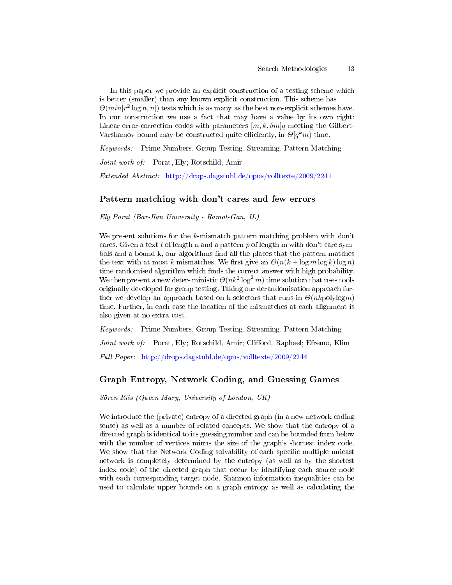In this paper we provide an explicit construction of a testing scheme which is better (smaller) than any known explicit construction. This scheme has  $\Theta(min[r^2\log n, n])$  tests which is as many as the best non-explicit schemes have. In our construction we use a fact that may have a value by its own right: Linear error-correction codes with parameters  $[m, k, \delta m]$ q meeting the Gilbert-Varshamov bound may be constructed quite efficiently, in  $\Theta[q^k m)$  time.

Keywords: Prime Numbers, Group Testing, Streaming, Pattern Matching

Joint work of: Porat, Ely; Rotschild, Amir

Extended Abstract: <http://drops.dagstuhl.de/opus/volltexte/2009/2241>

## Pattern matching with don't cares and few errors

Ely Porat (Bar-Ilan University - Ramat-Gan, IL)

We present solutions for the k-mismatch pattern matching problem with don't cares. Given a text t of length n and a pattern p of length m with don't care symbols and a bound k, our algorithms find all the places that the pattern matches the text with at most k mismatches. We first give an  $\Theta(n(k + \log m \log k) \log n)$ time randomised algorithm which finds the correct answer with high probability. We then present a new deter-ministic  $\Theta(nk^2 \log^2 m)$  time solution that uses tools originally developed for group testing. Taking our derandomisation approach further we develop an approach based on k-selectors that runs in  $\Theta(nk$  polylogm) time. Further, in each case the location of the mismatches at each alignment is also given at no extra cost.

Keywords: Prime Numbers, Group Testing, Streaming, Pattern Matching Joint work of: Porat, Ely; Rotschild, Amir; Clifford, Raphael; Efremo, Klim Full Paper: <http://drops.dagstuhl.de/opus/volltexte/2009/2244>

## Graph Entropy, Network Coding, and Guessing Games

Sören Riis (Queen Mary, University of London, UK)

We introduce the (private) entropy of a directed graph (in a new network coding sense) as well as a number of related concepts. We show that the entropy of a directed graph is identical to its guessing number and can be bounded from below with the number of vertices minus the size of the graph's shortest index code. We show that the Network Coding solvability of each specific multiple unicast network is completely determined by the entropy (as well as by the shortest index code) of the directed graph that occur by identifying each source node with each corresponding target node. Shannon information inequalities can be used to calculate upper bounds on a graph entropy as well as calculating the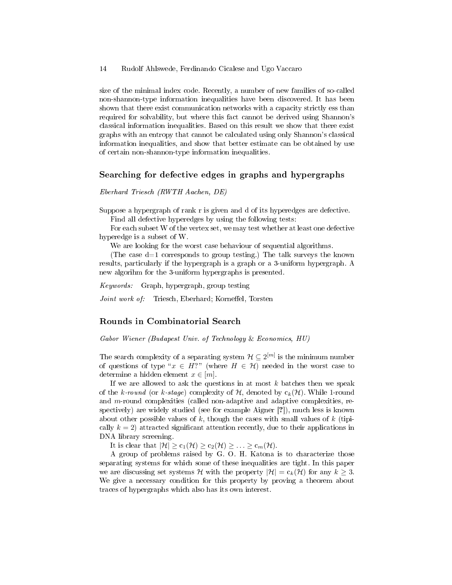size of the minimal index code. Recently, a number of new families of so-called non-shannon-type information inequalities have been discovered. It has been shown that there exist communication networks with a capacity strictly ess than required for solvability, but where this fact cannot be derived using Shannon's classical information inequalities. Based on this result we show that there exist graphs with an entropy that cannot be calculated using only Shannon's classical information inequalities, and show that better estimate can be obtained by use of certain non-shannon-type information inequalities.

#### Searching for defective edges in graphs and hypergraphs

Eberhard Triesch (RWTH Aachen, DE)

Suppose a hypergraph of rank r is given and d of its hyperedges are defective.

Find all defective hyperedges by using the following tests:

For each subset W of the vertex set, we may test whether at least one defective hyperedge is a subset of W.

We are looking for the worst case behaviour of sequential algorithms.

(The case  $d=1$  corresponds to group testing.) The talk surveys the known results, particularly if the hypergraph is a graph or a 3-uniform hypergraph. A new algorihm for the 3-uniform hypergraphs is presented.

Keywords: Graph, hypergraph, group testing

Joint work of: Triesch, Eberhard; Korneffel, Torsten

## Rounds in Combinatorial Search

Gabor Wiener (Budapest Univ. of Technology & Economics, HU)

The search complexity of a separating system  $\mathcal{H} \subseteq 2^{[m]}$  is the minimum number of questions of type " $x \in H$ ?" (where  $H \in \mathcal{H}$ ) needed in the worst case to determine a hidden element  $x \in [m]$ .

If we are allowed to ask the questions in at most  $k$  batches then we speak of the k-round (or k-stage) complexity of  $H$ , denoted by  $c_k(H)$ . While 1-round and m-round complexities (called non-adaptive and adaptive complexities, respectively) are widely studied (see for example Aigner [?]), much less is known about other possible values of k, though the cases with small values of k (tipically  $k = 2$ ) attracted significant attention recently, due to their applications in DNA library screening.

It is clear that  $|\mathcal{H}| \geq c_1(\mathcal{H}) \geq c_2(\mathcal{H}) \geq \ldots \geq c_m(\mathcal{H})$ .

A group of problems raised by G. O. H. Katona is to characterize those separating systems for which some of these inequalities are tight. In this paper we are discussing set systems H with the property  $|\mathcal{H}| = c_k(\mathcal{H})$  for any  $k \geq 3$ . We give a necessary condition for this property by proving a theorem about traces of hypergraphs which also has its own interest.

<sup>14</sup> Rudolf Ahlswede, Ferdinando Cicalese and Ugo Vaccaro